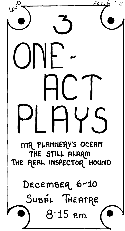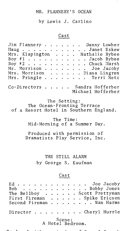## MR. FLANNERY'S OCEAN

by Lewis J. Carlino

## Cast

| Jim Flannery Danny Lowber<br>Maug Janet Eskew<br>Mrs. Klapington Mathalie Bybee<br>Boy $\#1$ Jacob Bybee<br>Boy $\#2$ Joe J<br>Mrs. Pringle |                                                                      |                      |                 |                      | $\ddot{\phantom{0}}$ |  |  |  | . Terri Netz                          |  |
|---------------------------------------------------------------------------------------------------------------------------------------------|----------------------------------------------------------------------|----------------------|-----------------|----------------------|----------------------|--|--|--|---------------------------------------|--|
| Co-Directors                                                                                                                                |                                                                      |                      |                 | $\ddot{\phantom{a}}$ |                      |  |  |  | Sandra Hofferber<br>Michael Hofferber |  |
|                                                                                                                                             | The Ocean-Fronting Terrace<br>of a Resort Hotel in Southern England. |                      | The Setting:    |                      |                      |  |  |  |                                       |  |
|                                                                                                                                             | Mid-Morning of a Summer Day.                                         |                      |                 |                      | The Time:            |  |  |  |                                       |  |
|                                                                                                                                             | Produced with permission of<br>Dramatists Play Service, Inc.         |                      |                 |                      |                      |  |  |  |                                       |  |
|                                                                                                                                             |                                                                      | by George S. Kaufman | THE STILL ALARM |                      |                      |  |  |  |                                       |  |
|                                                                                                                                             |                                                                      |                      |                 |                      | Cast                 |  |  |  |                                       |  |
|                                                                                                                                             |                                                                      |                      |                 |                      |                      |  |  |  |                                       |  |
|                                                                                                                                             |                                                                      |                      |                 |                      |                      |  |  |  |                                       |  |

. Cheryl Hurrle Director . .  $\bullet$ 

> Scene: A Hotel Bedroom.

T"'\ -- - ., - *r* ,.... - -